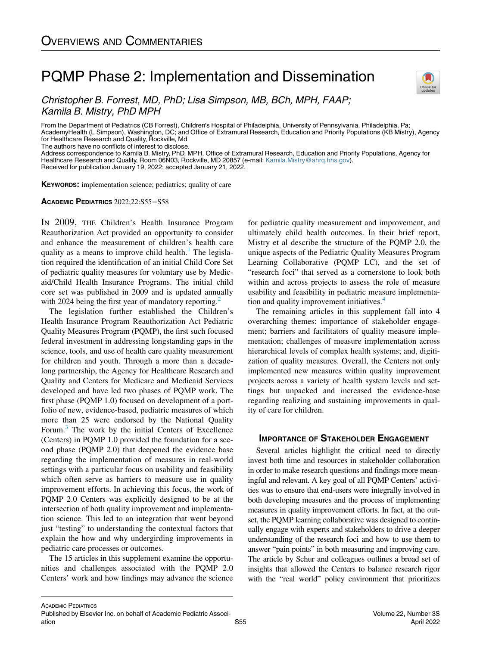# PQMP Phase 2: Implementation and Dissemination



Christopher B. Forrest, MD, PhD; Lisa Simpson, MB, BCh, MPH, FAAP; Kamila B. Mistry, PhD MPH

From the Department of Pediatrics (CB Forrest), Children's Hospital of Philadelphia, University of Pennsylvania, Philadelphia, Pa; AcademyHealth (L Simpson), Washington, DC; and Office of Extramural Research, Education and Priority Populations (KB Mistry), Agency for Healthcare Research and Quality, Rockville, Md The authors have no conflicts of interest to disclose.

Address correspondence to Kamila B. Mistry, PhD, MPH, Office of Extramural Research, Education and Priority Populations, Agency for Healthcare Research and Quality, Room 06N03, Rockville, MD 20857 (e-mail: [Kamila.Mistry@ahrq.hhs.gov](mailto:Kamila.Mistry@ahrq.hhs.gov)).

Received for publication January 19, 2022; accepted January 21, 2022.

KEYWORDS: implementation science; pediatrics; quality of care

#### ACADEMIC PEDIATRICS 2022;22:S55−S58

IN 2009, THE Children's Health Insurance Program Reauthorization Act provided an opportunity to consider and enhance the measurement of children's health care quality as a means to improve child health.<sup>[1](#page-2-0)</sup> The legislation required the identification of an initial Child Core Set of pediatric quality measures for voluntary use by Medicaid/Child Health Insurance Programs. The initial child core set was published in 2009 and is updated annually with [2](#page-2-1)024 being the first year of mandatory reporting.<sup>2</sup>

The legislation further established the Children's Health Insurance Program Reauthorization Act Pediatric Quality Measures Program (PQMP), the first such focused federal investment in addressing longstanding gaps in the science, tools, and use of health care quality measurement for children and youth. Through a more than a decadelong partnership, the Agency for Healthcare Research and Quality and Centers for Medicare and Medicaid Services developed and have led two phases of PQMP work. The first phase (PQMP 1.0) focused on development of a portfolio of new, evidence-based, pediatric measures of which more than 25 were endorsed by the National Quality Forum.[3](#page-2-2) The work by the initial Centers of Excellence (Centers) in PQMP 1.0 provided the foundation for a second phase (PQMP 2.0) that deepened the evidence base regarding the implementation of measures in real-world settings with a particular focus on usability and feasibility which often serve as barriers to measure use in quality improvement efforts. In achieving this focus, the work of PQMP 2.0 Centers was explicitly designed to be at the intersection of both quality improvement and implementation science. This led to an integration that went beyond just "testing" to understanding the contextual factors that explain the how and why undergirding improvements in pediatric care processes or outcomes.

The 15 articles in this supplement examine the opportunities and challenges associated with the PQMP 2.0 Centers' work and how findings may advance the science

for pediatric quality measurement and improvement, and ultimately child health outcomes. In their brief report, Mistry et al describe the structure of the PQMP 2.0, the unique aspects of the Pediatric Quality Measures Program Learning Collaborative (PQMP LC), and the set of "research foci" that served as a cornerstone to look both within and across projects to assess the role of measure usability and feasibility in pediatric measure implementa-tion and quality improvement initiatives.<sup>[4](#page-2-3)</sup>

The remaining articles in this supplement fall into 4 overarching themes: importance of stakeholder engagement; barriers and facilitators of quality measure implementation; challenges of measure implementation across hierarchical levels of complex health systems; and, digitization of quality measures. Overall, the Centers not only implemented new measures within quality improvement projects across a variety of health system levels and settings but unpacked and increased the evidence-base regarding realizing and sustaining improvements in quality of care for children.

## IMPORTANCE OF STAKEHOLDER ENGAGEMENT

Several articles highlight the critical need to directly invest both time and resources in stakeholder collaboration in order to make research questions and findings more meaningful and relevant. A key goal of all PQMP Centers' activities was to ensure that end-users were integrally involved in both developing measures and the process of implementing measures in quality improvement efforts. In fact, at the outset, the PQMP learning collaborative was designed to continually engage with experts and stakeholders to drive a deeper understanding of the research foci and how to use them to answer "pain points" in both measuring and improving care. The article by Schur and colleagues outlines a broad set of insights that allowed the Centers to balance research rigor with the "real world" policy environment that prioritizes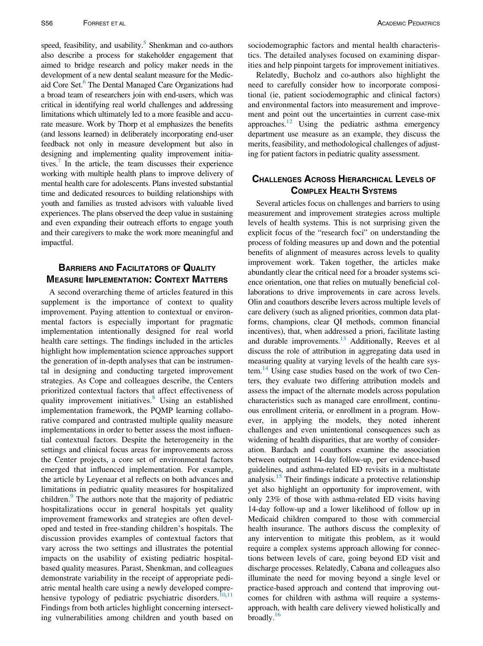speed, feasibility, and usability.<sup>5</sup> Shenkman and co-authors also describe a process for stakeholder engagement that aimed to bridge research and policy maker needs in the development of a new dental sealant measure for the Medicaid Core Set.<sup>6</sup> The Dental Managed Care Organizations had a broad team of researchers join with end-users, which was critical in identifying real world challenges and addressing limitations which ultimately led to a more feasible and accurate measure. Work by Thorp et al emphasizes the benefits (and lessons learned) in deliberately incorporating end-user feedback not only in measure development but also in designing and implementing quality improvement initiatives.<sup>7</sup> In the article, the team discusses their experience working with multiple health plans to improve delivery of mental health care for adolescents. Plans invested substantial time and dedicated resources to building relationships with youth and families as trusted advisors with valuable lived experiences. The plans observed the deep value in sustaining and even expanding their outreach efforts to engage youth and their caregivers to make the work more meaningful and impactful.

# BARRIERS AND FACILITATORS OF QUALITY MEASURE IMPLEMENTATION: CONTEXT MATTERS

A second overarching theme of articles featured in this supplement is the importance of context to quality improvement. Paying attention to contextual or environmental factors is especially important for pragmatic implementation intentionally designed for real world health care settings. The findings included in the articles highlight how implementation science approaches support the generation of in-depth analyses that can be instrumental in designing and conducting targeted improvement strategies. As Cope and colleagues describe, the Centers prioritized contextual factors that affect effectiveness of quality improvement initiatives.<sup>[8](#page-2-7)</sup> Using an established implementation framework, the PQMP learning collaborative compared and contrasted multiple quality measure implementations in order to better assess the most influential contextual factors. Despite the heterogeneity in the settings and clinical focus areas for improvements across the Center projects, a core set of environmental factors emerged that influenced implementation. For example, the article by Leyenaar et al reflects on both advances and limitations in pediatric quality measures for hospitalized children.<sup>[9](#page-2-8)</sup> The authors note that the majority of pediatric hospitalizations occur in general hospitals yet quality improvement frameworks and strategies are often developed and tested in free-standing children's hospitals. The discussion provides examples of contextual factors that vary across the two settings and illustrates the potential impacts on the usability of existing pediatric hospitalbased quality measures. Parast, Shenkman, and colleagues demonstrate variability in the receipt of appropriate pediatric mental health care using a newly developed compre-hensive typology of pediatric psychiatric disorders.<sup>[10](#page-2-9),[11](#page-2-10)</sup> Findings from both articles highlight concerning intersecting vulnerabilities among children and youth based on

sociodemographic factors and mental health characteristics. The detailed analyses focused on examining disparities and help pinpoint targets for improvement initiatives.

Relatedly, Bucholz and co-authors also highlight the need to carefully consider how to incorporate compositional (ie, patient sociodemographic and clinical factors) and environmental factors into measurement and improvement and point out the uncertainties in current case-mix approaches. $^{12}$  $^{12}$  $^{12}$  Using the pediatric asthma emergency department use measure as an example, they discuss the merits, feasibility, and methodological challenges of adjusting for patient factors in pediatric quality assessment.

## CHALLENGES ACROSS HIERARCHICAL LEVELS OF COMPLEX HEALTH SYSTEMS

Several articles focus on challenges and barriers to using measurement and improvement strategies across multiple levels of health systems. This is not surprising given the explicit focus of the "research foci" on understanding the process of folding measures up and down and the potential benefits of alignment of measures across levels to quality improvement work. Taken together, the articles make abundantly clear the critical need for a broader systems science orientation, one that relies on mutually beneficial collaborations to drive improvements in care across levels. Olin and coauthors describe levers across multiple levels of care delivery (such as aligned priorities, common data platforms, champions, clear QI methods, common financial incentives), that, when addressed a priori, facilitate lasting and durable improvements.<sup>13</sup> Additionally, Reeves et al discuss the role of attribution in aggregating data used in measuring quality at varying levels of the health care system. $^{14}$  $^{14}$  $^{14}$  Using case studies based on the work of two Centers, they evaluate two differing attribution models and assess the impact of the alternate models across population characteristics such as managed care enrollment, continuous enrollment criteria, or enrollment in a program. However, in applying the models, they noted inherent challenges and even unintentional consequences such as widening of health disparities, that are worthy of consideration. Bardach and coauthors examine the association between outpatient 14-day follow-up, per evidence-based guidelines, and asthma-related ED revisits in a multistate analysis.<sup>15</sup> Their findings indicate a protective relationship yet also highlight an opportunity for improvement, with only 23% of those with asthma-related ED visits having 14-day follow-up and a lower likelihood of follow up in Medicaid children compared to those with commercial health insurance. The authors discuss the complexity of any intervention to mitigate this problem, as it would require a complex systems approach allowing for connections between levels of care, going beyond ED visit and discharge processes. Relatedly, Cabana and colleagues also illuminate the need for moving beyond a single level or practice-based approach and contend that improving outcomes for children with asthma will require a systemsapproach, with health care delivery viewed holistically and broadly.<sup>[16](#page-3-3)</sup>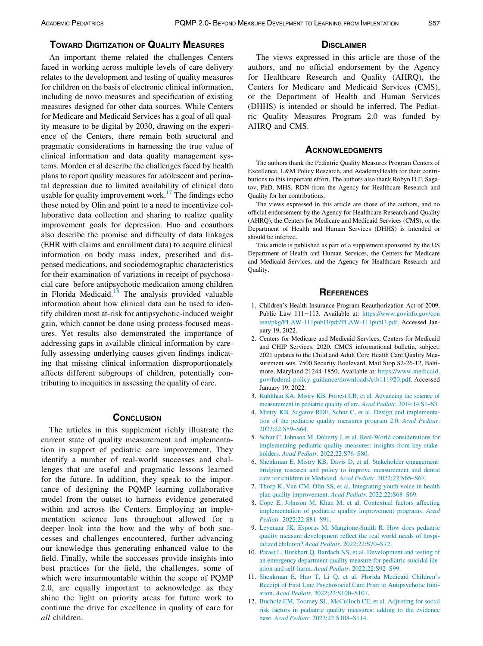## TOWARD DIGITIZATION OF QUALITY MEASURES

An important theme related the challenges Centers faced in working across multiple levels of care delivery relates to the development and testing of quality measures for children on the basis of electronic clinical information, including de novo measures and specification of existing measures designed for other data sources. While Centers for Medicare and Medicaid Services has a goal of all quality measure to be digital by 2030, drawing on the experience of the Centers, there remain both structural and pragmatic considerations in harnessing the true value of clinical information and data quality management systems. Morden et al describe the challenges faced by health plans to report quality measures for adolescent and perinatal depression due to limited availability of clinical data usable for quality improvement work.<sup>[17](#page-3-4)</sup> The findings echo those noted by Olin and point to a need to incentivize collaborative data collection and sharing to realize quality improvement goals for depression. Huo and coauthors also describe the promise and difficulty of data linkages (EHR with claims and enrollment data) to acquire clinical information on body mass index, prescribed and dispensed medications, and sociodemographic characteristics for their examination of variations in receipt of psychosocial care before antipsychotic medication among children in Florida Medicaid.<sup>[18](#page-3-5)</sup> The analysis provided valuable information about how clinical data can be used to identify children most at-risk for antipsychotic-induced weight gain, which cannot be done using process-focused measures. Yet results also demonstrated the importance of addressing gaps in available clinical information by carefully assessing underlying causes given findings indicating that missing clinical information disproportionately affects different subgroups of children, potentially contributing to inequities in assessing the quality of care.

## **CONCLUSION**

<span id="page-2-11"></span><span id="page-2-10"></span><span id="page-2-9"></span><span id="page-2-8"></span><span id="page-2-7"></span><span id="page-2-6"></span><span id="page-2-5"></span><span id="page-2-4"></span><span id="page-2-3"></span><span id="page-2-2"></span><span id="page-2-1"></span><span id="page-2-0"></span>The articles in this supplement richly illustrate the current state of quality measurement and implementation in support of pediatric care improvement. They identify a number of real-world successes and challenges that are useful and pragmatic lessons learned for the future. In addition, they speak to the importance of designing the PQMP learning collaborative model from the outset to harness evidence generated within and across the Centers. Employing an implementation science lens throughout allowed for a deeper look into the how and the why of both successes and challenges encountered, further advancing our knowledge thus generating enhanced value to the field. Finally, while the successes provide insights into best practices for the field, the challenges, some of which were insurmountable within the scope of PQMP 2.0, are equally important to acknowledge as they shine the light on priority areas for future work to continue the drive for excellence in quality of care for all children.

## **DISCLAIMER**

The views expressed in this article are those of the authors, and no official endorsement by the Agency for Healthcare Research and Quality (AHRQ), the Centers for Medicare and Medicaid Services (CMS), or the Department of Health and Human Services (DHHS) is intended or should be inferred. The Pediatric Quality Measures Program 2.0 was funded by AHRQ and CMS.

#### **ACKNOWLEDGMENTS**

The authors thank the Pediatric Quality Measures Program Centers of Excellence, L&M Policy Research, and AcademyHealth for their contributions to this important effort. The authors also thank Robyn D.F. Sagatov, PhD, MHS, RDN from the Agency for Healthcare Research and Quality for her contributions.

The views expressed in this article are those of the authors, and no official endorsement by the Agency for Healthcare Research and Quality (AHRQ), the Centers for Medicare and Medicaid Services (CMS), or the Department of Health and Human Services (DHHS) is intended or should be inferred.

This article is published as part of a supplement sponsored by the US Department of Health and Human Services, the Centers for Medicare and Medicaid Services, and the Agency for Healthcare Research and Quality.

## **REFERENCES**

- 1. Children's Health Insurance Program Reauthorization Act of 2009. Public Law 111−113. Available at: [https://www.govinfo.gov/con](https://www.govinfo.gov/content/pkg/PLAW-111publ3/pdf/PLAW-111publ3.pdf) [tent/pkg/PLAW-111publ3/pdf/PLAW-111publ3.pdf](https://www.govinfo.gov/content/pkg/PLAW-111publ3/pdf/PLAW-111publ3.pdf). Accessed January 19, 2022.
- 2. Centers for Medicare and Medicaid Services, Centers for Medicaid and CHIP Services. 2020. CMCS informational bulletin, subject: 2021 updates to the Child and Adult Core Health Care Quality Measurement sets. 7500 Security Boulevard, Mail Stop S2-26-12, Baltimore, Maryland 21244-1850. Available at: [https://www.medicaid.](https://www.medicaid.gov/federal-policy-guidance/downloads/cib111920.pdf) [gov/federal-policy-guidance/downloads/cib111920.pdf.](https://www.medicaid.gov/federal-policy-guidance/downloads/cib111920.pdf) Accessed January 19, 2022.
- 3. [Kuhlthau KA, Mistry KB, Forrest CB, et al. Advancing the science of](http://refhub.elsevier.com/S1876-2859(22)00013-4/sbref0003) [measurement in pediatric quality of are.](http://refhub.elsevier.com/S1876-2859(22)00013-4/sbref0003) Acad Pediatr. 2014;14:S1–S3.
- 4. [Mistry KB, Sagatov RDF, Schur C, et al. Design and implementa](http://refhub.elsevier.com/S1876-2859(22)00013-4/sbref0004)[tion of the pediatric quality measures program 2.0.](http://refhub.elsevier.com/S1876-2859(22)00013-4/sbref0004) Acad Pediatr. [2022;22:S59–S64.](http://refhub.elsevier.com/S1876-2859(22)00013-4/sbref0004)
- 5. [Schur C, Johnson M, Doherty J, et al. Real-World considerations for](http://refhub.elsevier.com/S1876-2859(22)00013-4/sbref0005) [implementing pediatric quality measures: insights from key stake](http://refhub.elsevier.com/S1876-2859(22)00013-4/sbref0005)holders. Acad Pediatr[. 2022;22:S76–S80.](http://refhub.elsevier.com/S1876-2859(22)00013-4/sbref0005)
- 6. [Shenkman E, Mistry KB, Davis D, et al. Stakeholder engagement:](http://refhub.elsevier.com/S1876-2859(22)00013-4/sbref0006) [bridging research and policy to improve measurement and dental](http://refhub.elsevier.com/S1876-2859(22)00013-4/sbref0006) [care for children in Medicaid.](http://refhub.elsevier.com/S1876-2859(22)00013-4/sbref0006) Acad Pediatr. 2022;22:S65–S67.
- 7. [Thorp K, Van CM, Olin SS, et al. Integrating youth voice in health](http://refhub.elsevier.com/S1876-2859(22)00013-4/sbref0007) [plan quality improvement.](http://refhub.elsevier.com/S1876-2859(22)00013-4/sbref0007) Acad Pediatr. 2022;22:S68–S69.
- 8. [Cope E, Johnson M, Khan M, et al. Contextual factors affecting](http://refhub.elsevier.com/S1876-2859(22)00013-4/sbref0008) [implementation of pediatric quality improvement programs.](http://refhub.elsevier.com/S1876-2859(22)00013-4/sbref0008) Acad Pediatr[. 2022;22:S81–S91.](http://refhub.elsevier.com/S1876-2859(22)00013-4/sbref0008)
- 9. [Leyenaar JK, Esporas M, Mangione-Smith R. How does pediatric](http://refhub.elsevier.com/S1876-2859(22)00013-4/sbref0009) [quality measure development reflect the real world needs of hospi](http://refhub.elsevier.com/S1876-2859(22)00013-4/sbref0009)talized children? Acad Pediatr[. 2022;22:S70–S72.](http://refhub.elsevier.com/S1876-2859(22)00013-4/sbref0009)
- 10. [Parast L, Burkhart Q, Bardach NS, et al. Development and testing of](http://refhub.elsevier.com/S1876-2859(22)00013-4/sbref0010) [an emergency department quality measure for pediatric suicidal ide](http://refhub.elsevier.com/S1876-2859(22)00013-4/sbref0010)[ation and self-harm.](http://refhub.elsevier.com/S1876-2859(22)00013-4/sbref0010) Acad Pediatr. 2022;22:S92–S99.
- 11. [Shenkman E, Huo T, Li Q, et al. Florida Medicaid Children](http://refhub.elsevier.com/S1876-2859(22)00013-4/sbref0011)'[s](http://refhub.elsevier.com/S1876-2859(22)00013-4/sbref0011) [Receipt of First Line Psychosocial Care Prior to Antipsychotic Initi](http://refhub.elsevier.com/S1876-2859(22)00013-4/sbref0011)ation. Acad Pediatr[. 2022;22:S100–S107.](http://refhub.elsevier.com/S1876-2859(22)00013-4/sbref0011)
- 12. [Bucholz EM, Toomey SL, McCulloch CE, et al. Adjusting for social](http://refhub.elsevier.com/S1876-2859(22)00013-4/sbref0012) [risk factors in pediatric quality measures: adding to the evidence](http://refhub.elsevier.com/S1876-2859(22)00013-4/sbref0012) base. Acad Pediatr[. 2022;22:S108–S114.](http://refhub.elsevier.com/S1876-2859(22)00013-4/sbref0012)